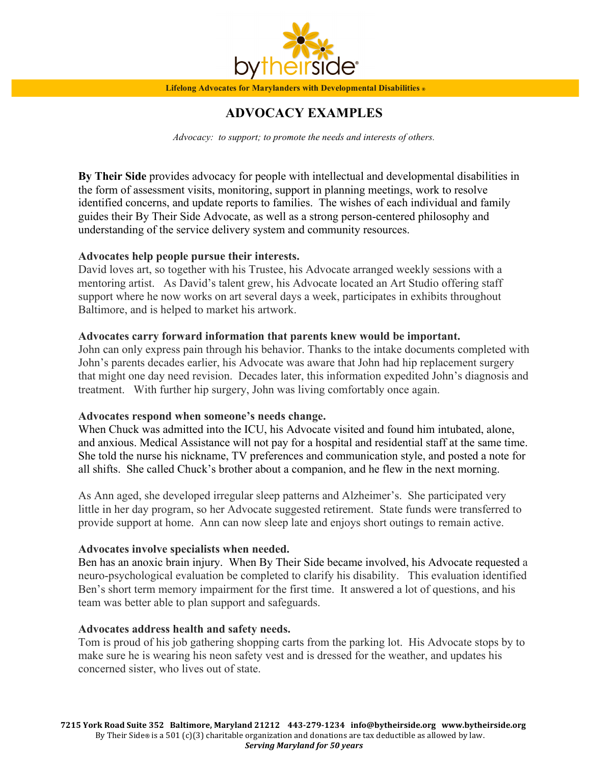

# **ADVOCACY EXAMPLES**

*Advocacy: to support; to promote the needs and interests of others.* 

**By Their Side** provides advocacy for people with intellectual and developmental disabilities in the form of assessment visits, monitoring, support in planning meetings, work to resolve identified concerns, and update reports to families. The wishes of each individual and family guides their By Their Side Advocate, as well as a strong person-centered philosophy and understanding of the service delivery system and community resources.

## **Advocates help people pursue their interests.**

David loves art, so together with his Trustee, his Advocate arranged weekly sessions with a mentoring artist. As David's talent grew, his Advocate located an Art Studio offering staff support where he now works on art several days a week, participates in exhibits throughout Baltimore, and is helped to market his artwork.

#### **Advocates carry forward information that parents knew would be important.**

John can only express pain through his behavior. Thanks to the intake documents completed with John's parents decades earlier, his Advocate was aware that John had hip replacement surgery that might one day need revision. Decades later, this information expedited John's diagnosis and treatment. With further hip surgery, John was living comfortably once again.

## **Advocates respond when someone's needs change.**

When Chuck was admitted into the ICU, his Advocate visited and found him intubated, alone, and anxious. Medical Assistance will not pay for a hospital and residential staff at the same time. She told the nurse his nickname, TV preferences and communication style, and posted a note for all shifts. She called Chuck's brother about a companion, and he flew in the next morning.

As Ann aged, she developed irregular sleep patterns and Alzheimer's. She participated very little in her day program, so her Advocate suggested retirement. State funds were transferred to provide support at home. Ann can now sleep late and enjoys short outings to remain active.

## **Advocates involve specialists when needed.**

Ben has an anoxic brain injury. When By Their Side became involved, his Advocate requested a neuro-psychological evaluation be completed to clarify his disability. This evaluation identified Ben's short term memory impairment for the first time. It answered a lot of questions, and his team was better able to plan support and safeguards.

## **Advocates address health and safety needs.**

Tom is proud of his job gathering shopping carts from the parking lot. His Advocate stops by to make sure he is wearing his neon safety vest and is dressed for the weather, and updates his concerned sister, who lives out of state.